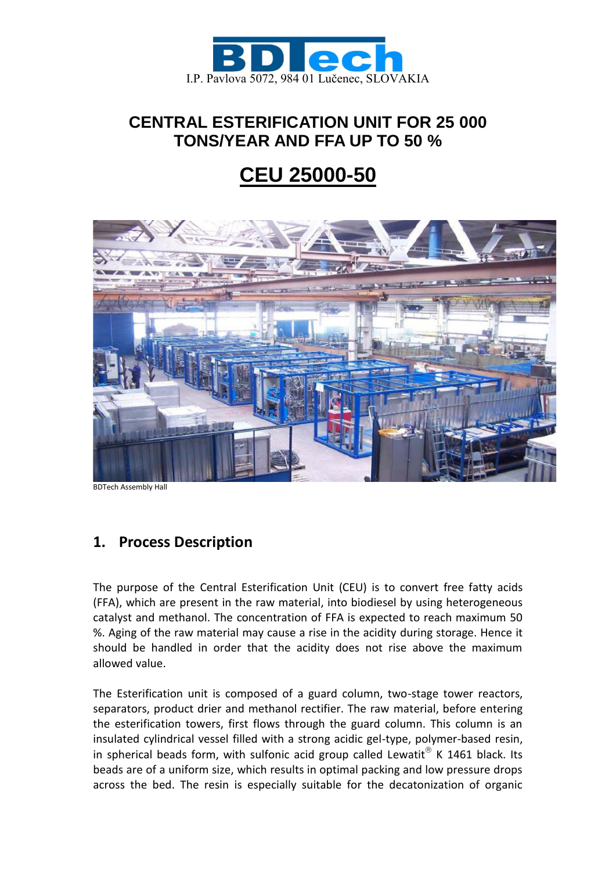

## **CENTRAL ESTERIFICATION UNIT FOR 25 000 TONS/YEAR AND FFA UP TO 50 %**

# **CEU 25000-50**



BDTech Assembly Hall

### **1. Process Description**

The purpose of the Central Esterification Unit (CEU) is to convert free fatty acids (FFA), which are present in the raw material, into biodiesel by using heterogeneous catalyst and methanol. The concentration of FFA is expected to reach maximum 50 %. Aging of the raw material may cause a rise in the acidity during storage. Hence it should be handled in order that the acidity does not rise above the maximum allowed value.

The Esterification unit is composed of a guard column, two-stage tower reactors, separators, product drier and methanol rectifier. The raw material, before entering the esterification towers, first flows through the guard column. This column is an insulated cylindrical vessel filled with a strong acidic gel-type, polymer-based resin, in spherical beads form, with sulfonic acid group called Lewatit $^{\circledR}$  K 1461 black. Its beads are of a uniform size, which results in optimal packing and low pressure drops across the bed. The resin is especially suitable for the decatonization of organic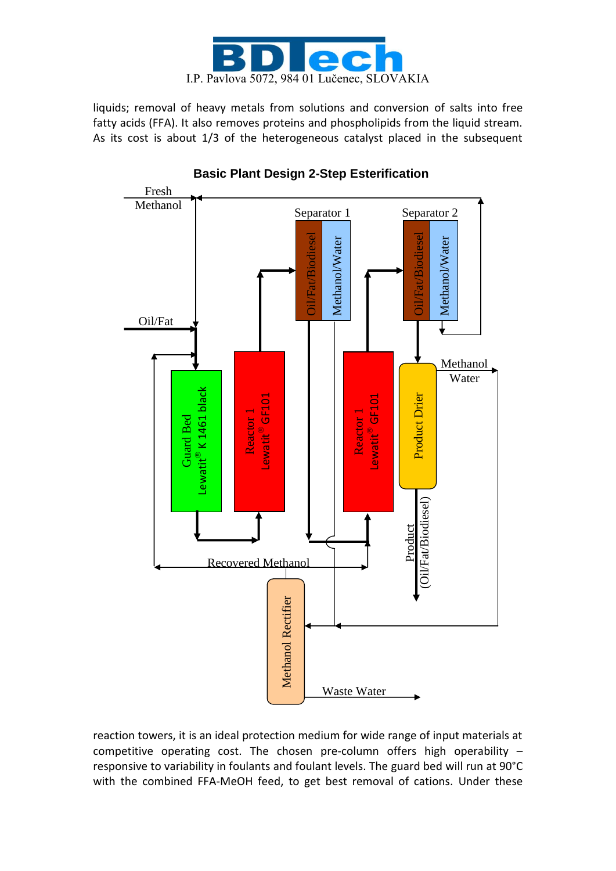

liquids; removal of heavy metals from solutions and conversion of salts into free fatty acids (FFA). It also removes proteins and phospholipids from the liquid stream. As its cost is about 1/3 of the heterogeneous catalyst placed in the subsequent



**Basic Plant Design 2-Step Esterification**

reaction towers, it is an ideal protection medium for wide range of input materials at competitive operating cost. The chosen pre-column offers high operability – responsive to variability in foulants and foulant levels. The guard bed will run at 90°C with the combined FFA-MeOH feed, to get best removal of cations. Under these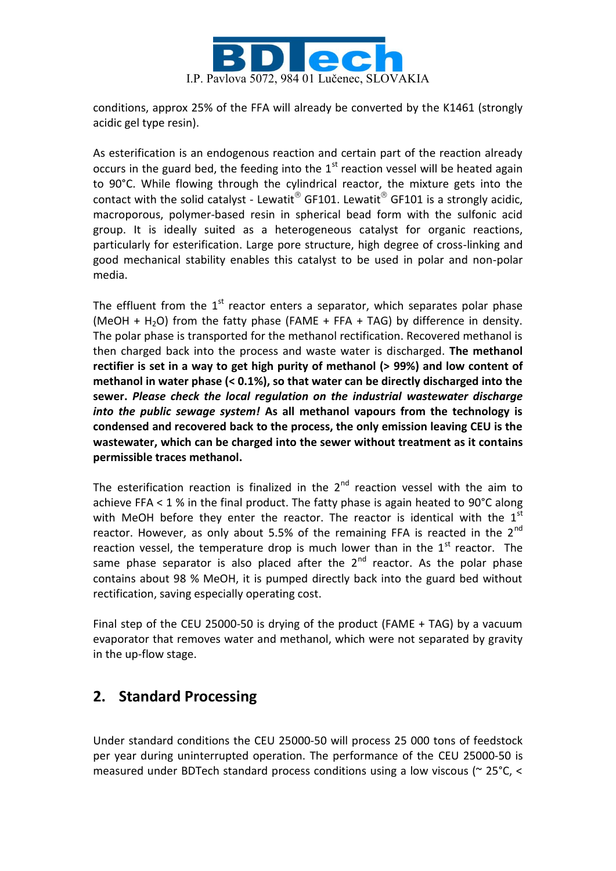

conditions, approx 25% of the FFA will already be converted by the K1461 (strongly acidic gel type resin).

As esterification is an endogenous reaction and certain part of the reaction already occurs in the guard bed, the feeding into the  $1<sup>st</sup>$  reaction vessel will be heated again to 90°C. While flowing through the cylindrical reactor, the mixture gets into the contact with the solid catalyst - Lewatit  $^{\circ}$  GF101. Lewatit  $^{\circ}$  GF101 is a strongly acidic, macroporous, polymer-based resin in spherical bead form with the sulfonic acid group. It is ideally suited as a heterogeneous catalyst for organic reactions, particularly for esterification. Large pore structure, high degree of cross-linking and good mechanical stability enables this catalyst to be used in polar and non-polar media.

The effluent from the  $1<sup>st</sup>$  reactor enters a separator, which separates polar phase (MeOH + H<sub>2</sub>O) from the fatty phase (FAME + FFA + TAG) by difference in density. The polar phase is transported for the methanol rectification. Recovered methanol is then charged back into the process and waste water is discharged. **The methanol rectifier is set in a way to get high purity of methanol (> 99%) and low content of methanol in water phase (< 0.1%), so that water can be directly discharged into the sewer.** *Please check the local regulation on the industrial wastewater discharge into the public sewage system!* **As all methanol vapours from the technology is condensed and recovered back to the process, the only emission leaving CEU is the wastewater, which can be charged into the sewer without treatment as it contains permissible traces methanol.** 

The esterification reaction is finalized in the  $2<sup>nd</sup>$  reaction vessel with the aim to achieve FFA  $<$  1 % in the final product. The fatty phase is again heated to 90 $^{\circ}$ C along with MeOH before they enter the reactor. The reactor is identical with the  $1<sup>st</sup>$ reactor. However, as only about 5.5% of the remaining FFA is reacted in the  $2^{nd}$ reaction vessel, the temperature drop is much lower than in the  $1<sup>st</sup>$  reactor. The same phase separator is also placed after the  $2^{nd}$  reactor. As the polar phase contains about 98 % MeOH, it is pumped directly back into the guard bed without rectification, saving especially operating cost.

Final step of the CEU 25000-50 is drying of the product (FAME + TAG) by a vacuum evaporator that removes water and methanol, which were not separated by gravity in the up-flow stage.

### **2. Standard Processing**

Under standard conditions the CEU 25000-50 will process 25 000 tons of feedstock per year during uninterrupted operation. The performance of the CEU 25000-50 is measured under BDTech standard process conditions using a low viscous (~ 25°C, <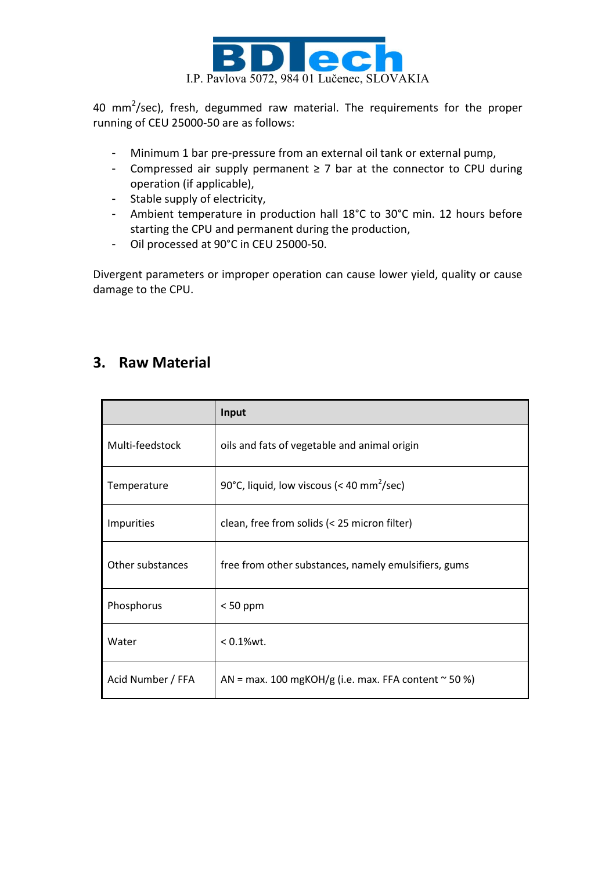

40 mm<sup>2</sup>/sec), fresh, degummed raw material. The requirements for the proper running of CEU 25000-50 are as follows:

- Minimum 1 bar pre-pressure from an external oil tank or external pump,
- Compressed air supply permanent ≥ 7 bar at the connector to CPU during operation (if applicable),
- Stable supply of electricity,
- Ambient temperature in production hall 18°C to 30°C min. 12 hours before starting the CPU and permanent during the production,
- Oil processed at 90°C in CEU 25000-50.

Divergent parameters or improper operation can cause lower yield, quality or cause damage to the CPU.

### **3. Raw Material**

|                   | Input                                                     |  |  |  |
|-------------------|-----------------------------------------------------------|--|--|--|
| Multi-feedstock   | oils and fats of vegetable and animal origin              |  |  |  |
| Temperature       | 90°C, liquid, low viscous (< 40 mm <sup>2</sup> /sec)     |  |  |  |
| <b>Impurities</b> | clean, free from solids (< 25 micron filter)              |  |  |  |
| Other substances  | free from other substances, namely emulsifiers, gums      |  |  |  |
| Phosphorus        | $< 50$ ppm                                                |  |  |  |
| Water             | $< 0.1$ %wt.                                              |  |  |  |
| Acid Number / FFA | AN = max. 100 mgKOH/g (i.e. max. FFA content $\sim$ 50 %) |  |  |  |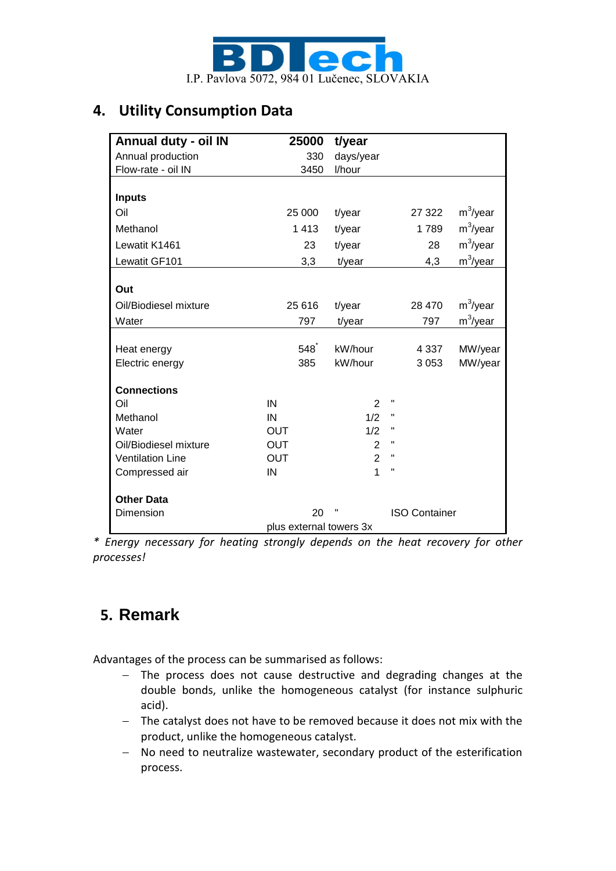

### **4. Utility Consumption Data**

| Annual duty - oil IN    | 25000      | t/year                    |         |                      |  |  |
|-------------------------|------------|---------------------------|---------|----------------------|--|--|
| Annual production       | 330        | days/year                 |         |                      |  |  |
| Flow-rate - oil IN      | 3450       | l/hour                    |         |                      |  |  |
|                         |            |                           |         |                      |  |  |
| <b>Inputs</b>           |            |                           |         |                      |  |  |
| Oil                     | 25 000     | t/year                    | 27 322  | $m^3$ /year          |  |  |
| Methanol                | 1 4 1 3    | t/year                    | 1789    | $m^3$ /year          |  |  |
| Lewatit K1461           | 23         | t/year                    | 28      | $m^3$ /year          |  |  |
| Lewatit GF101           | 3,3        | t/year                    | 4,3     | $m^3$ /year          |  |  |
|                         |            |                           |         |                      |  |  |
| Out                     |            |                           |         |                      |  |  |
| Oil/Biodiesel mixture   | 25 616     | t/year                    | 28 470  | m <sup>3</sup> /year |  |  |
| Water                   | 797        | t/year                    | 797     | m <sup>3</sup> /year |  |  |
|                         |            |                           |         |                      |  |  |
| Heat energy             | 548        | kW/hour                   | 4 3 3 7 | MW/year              |  |  |
| Electric energy         | 385        | kW/hour                   | 3053    | MW/year              |  |  |
| <b>Connections</b>      |            |                           |         |                      |  |  |
| Oil                     | IN         | $\overline{2}$            | Π       |                      |  |  |
| Methanol                | IN         | 1/2                       | п       |                      |  |  |
| Water                   | OUT        | 1/2                       | Η       |                      |  |  |
| Oil/Biodiesel mixture   | <b>OUT</b> | $\overline{2}$            | Η       |                      |  |  |
| <b>Ventilation Line</b> | <b>OUT</b> | $\overline{2}$            | Η       |                      |  |  |
| Compressed air          | IN         | $\overline{1}$            | π       |                      |  |  |
|                         |            |                           |         |                      |  |  |
| <b>Other Data</b>       |            |                           |         |                      |  |  |
| Dimension               | 20         | υ<br><b>ISO Container</b> |         |                      |  |  |
| plus external towers 3x |            |                           |         |                      |  |  |

*\* Energy necessary for heating strongly depends on the heat recovery for other processes!*

## **5. Remark**

Advantages of the process can be summarised as follows:

- The process does not cause destructive and degrading changes at the double bonds, unlike the homogeneous catalyst (for instance sulphuric acid).
- The catalyst does not have to be removed because it does not mix with the product, unlike the homogeneous catalyst.
- No need to neutralize wastewater, secondary product of the esterification process.